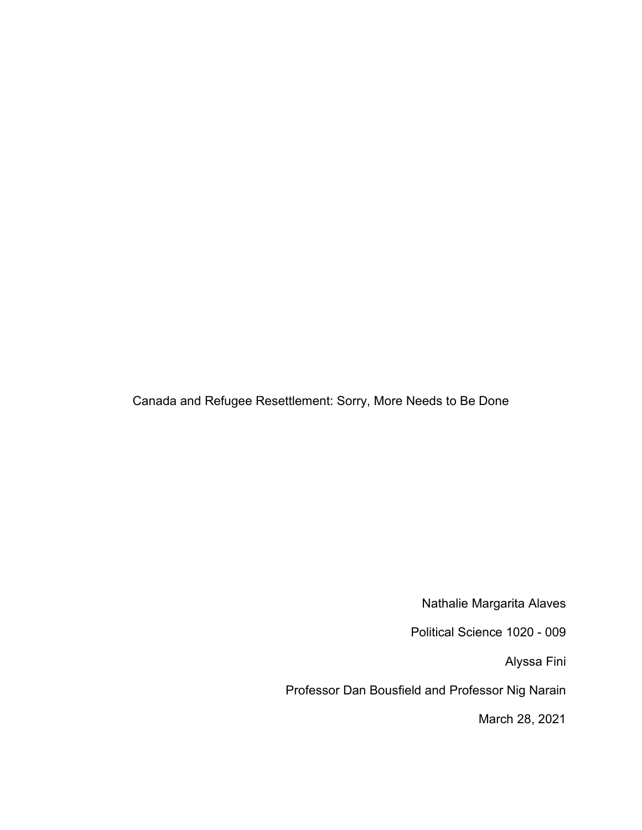Canada and Refugee Resettlement: Sorry, More Needs to Be Done

Nathalie Margarita Alaves

Political Science 1020 - 009

Alyssa Fini

Professor Dan Bousfield and Professor Nig Narain

March 28, 2021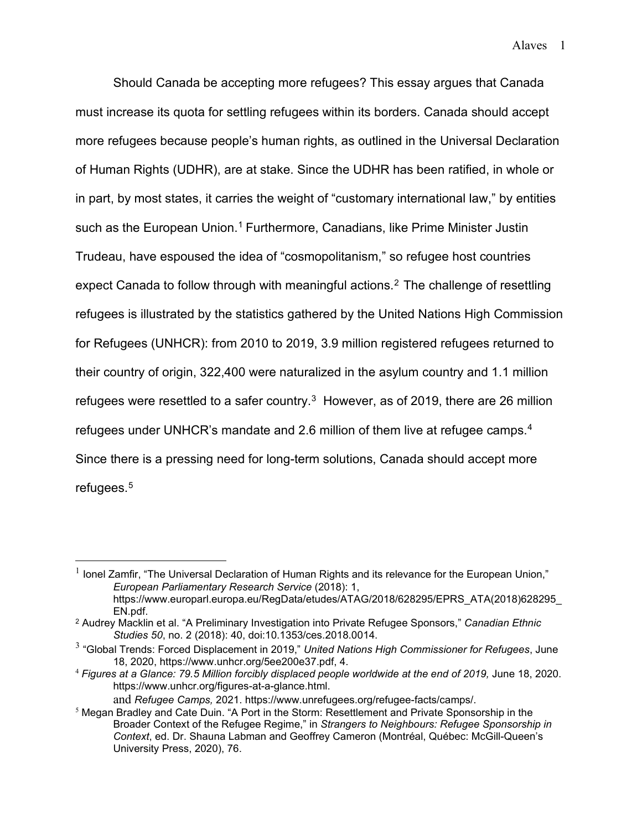Alaves 1

Should Canada be accepting more refugees? This essay argues that Canada must increase its quota for settling refugees within its borders. Canada should accept more refugees because people's human rights, as outlined in the Universal Declaration of Human Rights (UDHR), are at stake. Since the UDHR has been ratified, in whole or in part, by most states, it carries the weight of "customary international law," by entities such as the European Union.<sup>[1](#page-1-0)</sup> Furthermore, Canadians, like Prime Minister Justin Trudeau, have espoused the idea of "cosmopolitanism," so refugee host countries expect Canada to follow through with meaningful actions.<sup>[2](#page-1-1)</sup> The challenge of resettling refugees is illustrated by the statistics gathered by the United Nations High Commission for Refugees (UNHCR): from 2010 to 2019, 3.9 million registered refugees returned to their country of origin, 322,400 were naturalized in the asylum country and 1.1 million refugees were resettled to a safer country. $^3\,$  $^3\,$  $^3\,$  However, as of 2019, there are 26 million refugees under UNHCR's mandate and 2.6 million of them live at refugee camps. [4](#page-1-3) Since there is a pressing need for long-term solutions, Canada should accept more refugees. [5](#page-1-4)

<span id="page-1-0"></span> $1$  lonel Zamfir, "The Universal Declaration of Human Rights and its relevance for the European Union," *European Parliamentary Research Service* (2018): 1, https://www.europarl.europa.eu/RegData/etudes/ATAG/2018/628295/EPRS\_ATA(2018)628295\_ EN.pdf.

<span id="page-1-1"></span><sup>2</sup> Audrey Macklin et al. "A Preliminary Investigation into Private Refugee Sponsors," *Canadian Ethnic Studies 50*, no. 2 (2018): 40, doi:10.1353/ces.2018.0014.

<span id="page-1-2"></span><sup>3</sup> "Global Trends: Forced Displacement in 2019," *United Nations High Commissioner for Refugees*, June 18, 2020, https://www.unhcr.org/5ee200e37.pdf, 4.

<span id="page-1-3"></span><sup>&</sup>lt;sup>4</sup> Figures at a Glance: 79.5 Million forcibly displaced people worldwide at the end of 2019, June 18, 2020. https://www.unhcr.org/figures-at-a-glance.html.

and *Refugee Camps,* 2021. https://www.unrefugees.org/refugee-facts/camps/.

<span id="page-1-4"></span><sup>5</sup> Megan Bradley and Cate Duin. "A Port in the Storm: Resettlement and Private Sponsorship in the Broader Context of the Refugee Regime," in *Strangers to Neighbours: Refugee Sponsorship in Context*, ed. Dr. Shauna Labman and Geoffrey Cameron (Montréal, Québec: McGill-Queen's University Press, 2020), 76.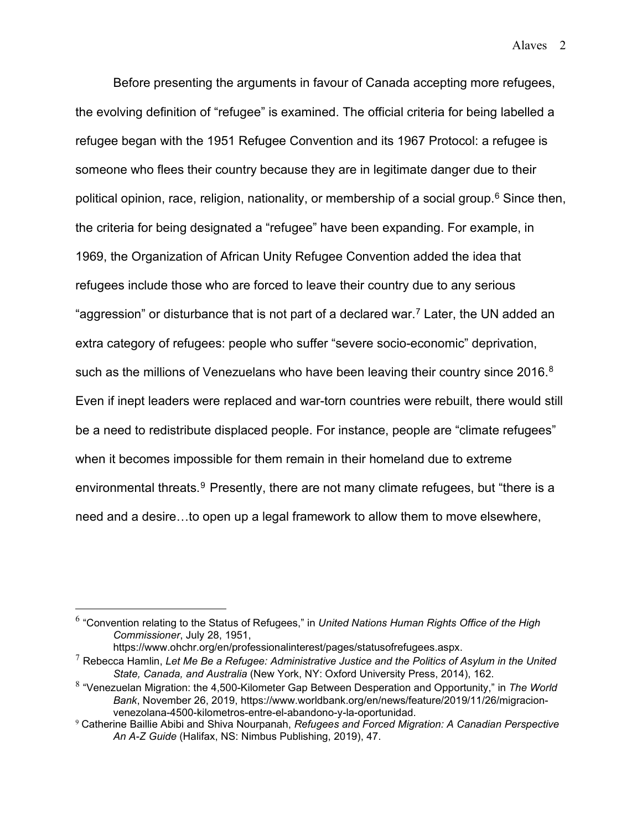Alaves 2

Before presenting the arguments in favour of Canada accepting more refugees, the evolving definition of "refugee" is examined. The official criteria for being labelled a refugee began with the 1951 Refugee Convention and its 1967 Protocol: a refugee is someone who flees their country because they are in legitimate danger due to their political opinion, race, religion, nationality, or membership of a social group.<sup>[6](#page-2-0)</sup> Since then, the criteria for being designated a "refugee" have been expanding. For example, in 1969, the Organization of African Unity Refugee Convention added the idea that refugees include those who are forced to leave their country due to any serious "aggression" or disturbance that is not part of a declared war. $7$  Later, the UN added an extra category of refugees: people who suffer "severe socio-economic" deprivation, such as the millions of Venezuelans who have been leaving their country since 2016. $^8$  $^8$ Even if inept leaders were replaced and war-torn countries were rebuilt, there would still be a need to redistribute displaced people. For instance, people are "climate refugees" when it becomes impossible for them remain in their homeland due to extreme environmental threats. [9](#page-2-3) Presently, there are not many climate refugees, but "there is a need and a desire…to open up a legal framework to allow them to move elsewhere,

<span id="page-2-0"></span><sup>6</sup> "Convention relating to the Status of Refugees," in *United Nations Human Rights Office of the High Commissioner*, July 28, 1951,

https://www.ohchr.org/en/professionalinterest/pages/statusofrefugees.aspx.

<span id="page-2-1"></span><sup>7</sup> Rebecca Hamlin, *Let Me Be a Refugee: Administrative Justice and the Politics of Asylum in the United State, Canada, and Australia* (New York, NY: Oxford University Press, 2014), 162.

<span id="page-2-2"></span><sup>8</sup> "Venezuelan Migration: the 4,500-Kilometer Gap Between Desperation and Opportunity," in *The World Bank*, November 26, 2019, https://www.worldbank.org/en/news/feature/2019/11/26/migracionvenezolana-4500-kilometros-entre-el-abandono-y-la-oportunidad.

<span id="page-2-3"></span><sup>9</sup> Catherine Baillie Abibi and Shiva Nourpanah, *Refugees and Forced Migration: A Canadian Perspective An A-Z Guide* (Halifax, NS: Nimbus Publishing, 2019), 47.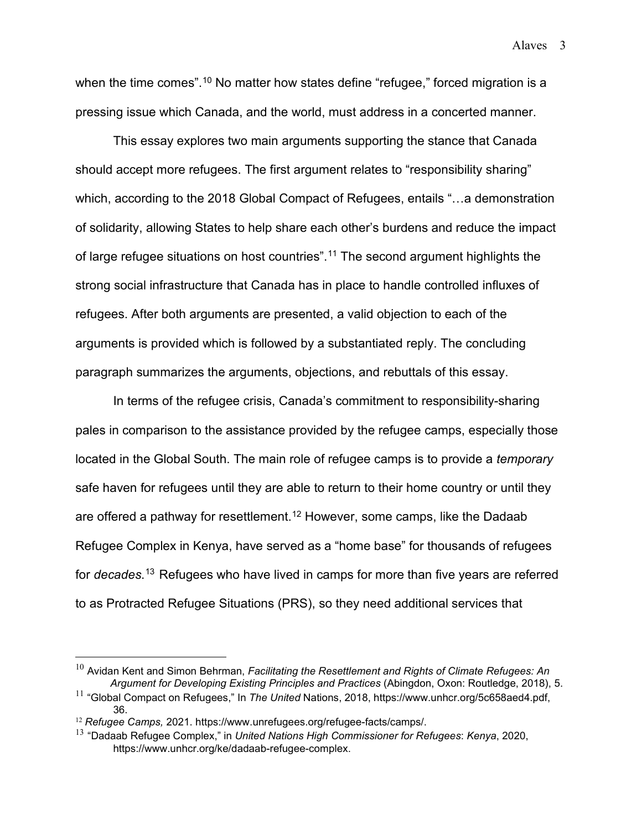when the time comes".<sup>[10](#page-3-0)</sup> No matter how states define "refugee," forced migration is a pressing issue which Canada, and the world, must address in a concerted manner.

This essay explores two main arguments supporting the stance that Canada should accept more refugees. The first argument relates to "responsibility sharing" which, according to the 2018 Global Compact of Refugees, entails "…a demonstration of solidarity, allowing States to help share each other's burdens and reduce the impact of large refugee situations on host countries".[11](#page-3-1) The second argument highlights the strong social infrastructure that Canada has in place to handle controlled influxes of refugees. After both arguments are presented, a valid objection to each of the arguments is provided which is followed by a substantiated reply. The concluding paragraph summarizes the arguments, objections, and rebuttals of this essay.

In terms of the refugee crisis, Canada's commitment to responsibility-sharing pales in comparison to the assistance provided by the refugee camps, especially those located in the Global South. The main role of refugee camps is to provide a *temporary* safe haven for refugees until they are able to return to their home country or until they are offered a pathway for resettlement. [12](#page-3-2) However, some camps, like the Dadaab Refugee Complex in Kenya, have served as a "home base" for thousands of refugees for *decades*. [13](#page-3-3) Refugees who have lived in camps for more than five years are referred to as Protracted Refugee Situations (PRS), so they need additional services that

<span id="page-3-0"></span><sup>10</sup> Avidan Kent and Simon Behrman, *Facilitating the Resettlement and Rights of Climate Refugees: An Argument for Developing Existing Principles and Practices* (Abingdon, Oxon: Routledge, 2018), 5.

<span id="page-3-1"></span><sup>11</sup> "Global Compact on Refugees," In *The United* Nations, 2018, https://www.unhcr.org/5c658aed4.pdf, 36.

<span id="page-3-2"></span><sup>12</sup> *Refugee Camps,* 2021. https://www.unrefugees.org/refugee-facts/camps/.

<span id="page-3-3"></span><sup>13</sup> "Dadaab Refugee Complex," in *United Nations High Commissioner for Refugees*: *Kenya*, 2020, https://www.unhcr.org/ke/dadaab-refugee-complex.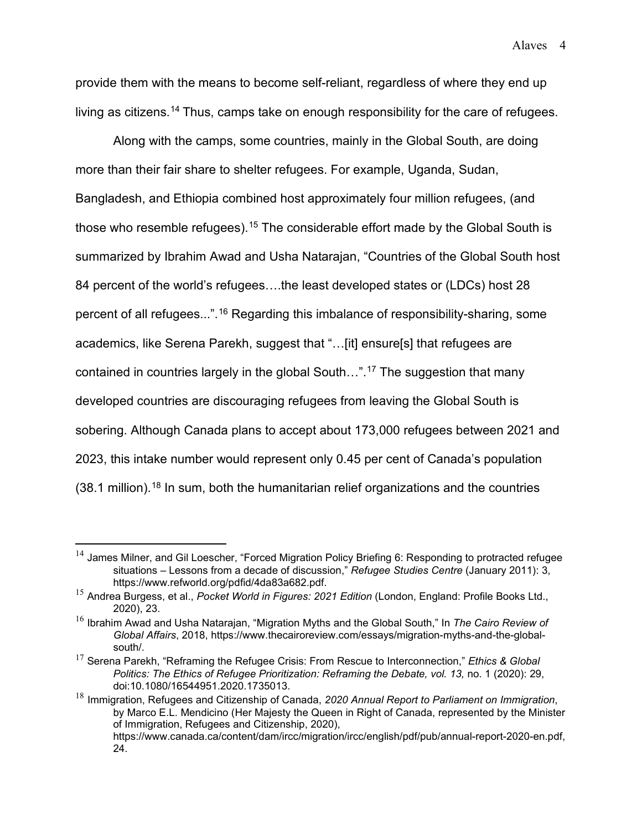provide them with the means to become self-reliant, regardless of where they end up living as citizens.[14](#page-4-0) Thus, camps take on enough responsibility for the care of refugees.

Along with the camps, some countries, mainly in the Global South, are doing more than their fair share to shelter refugees. For example, Uganda, Sudan, Bangladesh, and Ethiopia combined host approximately four million refugees, (and those who resemble refugees).<sup>[15](#page-4-1)</sup> The considerable effort made by the Global South is summarized by Ibrahim Awad and Usha Natarajan, "Countries of the Global South host 84 percent of the world's refugees….the least developed states or (LDCs) host 28 percent of all refugees...".[16](#page-4-2) Regarding this imbalance of responsibility-sharing, some academics, like Serena Parekh, suggest that "…[it] ensure[s] that refugees are contained in countries largely in the global South…".[17](#page-4-3) The suggestion that many developed countries are discouraging refugees from leaving the Global South is sobering. Although Canada plans to accept about 173,000 refugees between 2021 and 2023, this intake number would represent only 0.45 per cent of Canada's population  $(38.1 \text{ million})$ .<sup>[18](#page-4-4)</sup> In sum, both the humanitarian relief organizations and the countries

<span id="page-4-0"></span> $14$  James Milner, and Gil Loescher, "Forced Migration Policy Briefing 6: Responding to protracted refugee situations – Lessons from a decade of discussion," *Refugee Studies Centre* (January 2011): 3, https://www.refworld.org/pdfid/4da83a682.pdf.

<span id="page-4-1"></span><sup>15</sup> Andrea Burgess, et al., *Pocket World in Figures: 2021 Edition* (London, England: Profile Books Ltd., 2020), 23.

<span id="page-4-2"></span><sup>16</sup> Ibrahim Awad and Usha Natarajan, "Migration Myths and the Global South," In *The Cairo Review of Global Affairs*, 2018, https://www.thecairoreview.com/essays/migration-myths-and-the-globalsouth/.

<span id="page-4-3"></span><sup>17</sup> Serena Parekh, "Reframing the Refugee Crisis: From Rescue to Interconnection," *Ethics & Global Politics: The Ethics of Refugee Prioritization: Reframing the Debate, vol. 13,* no. 1 (2020): 29, doi:10.1080/16544951.2020.1735013.

<span id="page-4-4"></span><sup>18</sup> Immigration, Refugees and Citizenship of Canada, *2020 Annual Report to Parliament on Immigration*, by Marco E.L. Mendicino (Her Majesty the Queen in Right of Canada, represented by the Minister of Immigration, Refugees and Citizenship, 2020), https://www.canada.ca/content/dam/ircc/migration/ircc/english/pdf/pub/annual-report-2020-en.pdf, 24.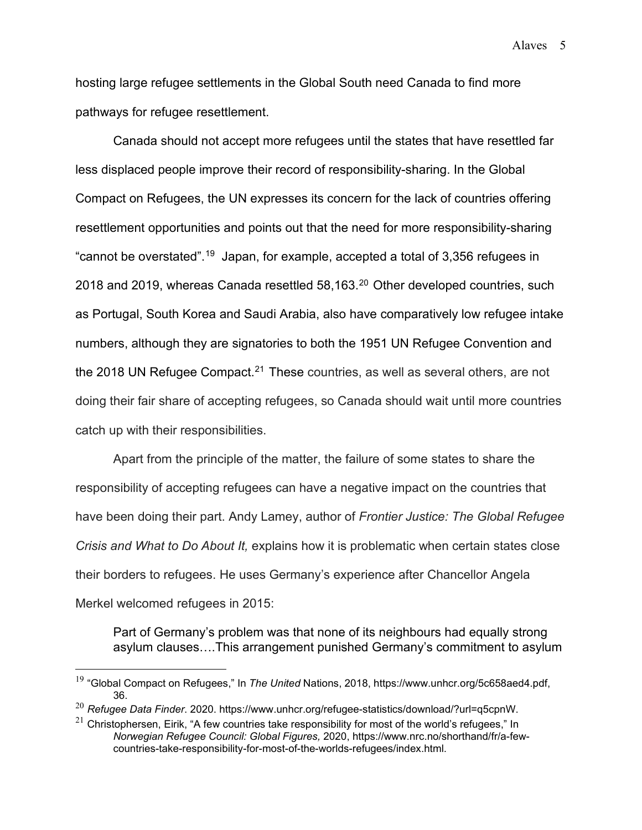hosting large refugee settlements in the Global South need Canada to find more pathways for refugee resettlement.

Canada should not accept more refugees until the states that have resettled far less displaced people improve their record of responsibility-sharing. In the Global Compact on Refugees, the UN expresses its concern for the lack of countries offering resettlement opportunities and points out that the need for more responsibility-sharing "cannot be overstated".[19](#page-5-0) Japan, for example, accepted a total of 3,356 refugees in [20](#page-5-1)18 and 2019, whereas Canada resettled 58,163.<sup>20</sup> Other developed countries, such as Portugal, South Korea and Saudi Arabia, also have comparatively low refugee intake numbers, although they are signatories to both the 1951 UN Refugee Convention and the 2018 UN Refugee Compact.<sup>[21](#page-5-2)</sup> These countries, as well as several others, are not doing their fair share of accepting refugees, so Canada should wait until more countries catch up with their responsibilities.

Apart from the principle of the matter, the failure of some states to share the responsibility of accepting refugees can have a negative impact on the countries that have been doing their part. Andy Lamey, author of *Frontier Justice: The Global Refugee Crisis and What to Do About It,* explains how it is problematic when certain states close their borders to refugees. He uses Germany's experience after Chancellor Angela Merkel welcomed refugees in 2015:

Part of Germany's problem was that none of its neighbours had equally strong asylum clauses….This arrangement punished Germany's commitment to asylum

Alaves 5

<span id="page-5-0"></span><sup>19</sup> "Global Compact on Refugees," In *The United* Nations, 2018, https://www.unhcr.org/5c658aed4.pdf, 36.

<span id="page-5-1"></span><sup>20</sup> *Refugee Data Finder*. 2020. https://www.unhcr.org/refugee-statistics/download/?url=q5cpnW.

<span id="page-5-2"></span> $21$  Christophersen, Eirik, "A few countries take responsibility for most of the world's refugees," In *Norwegian Refugee Council: Global Figures,* 2020, https://www.nrc.no/shorthand/fr/a-fewcountries-take-responsibility-for-most-of-the-worlds-refugees/index.html.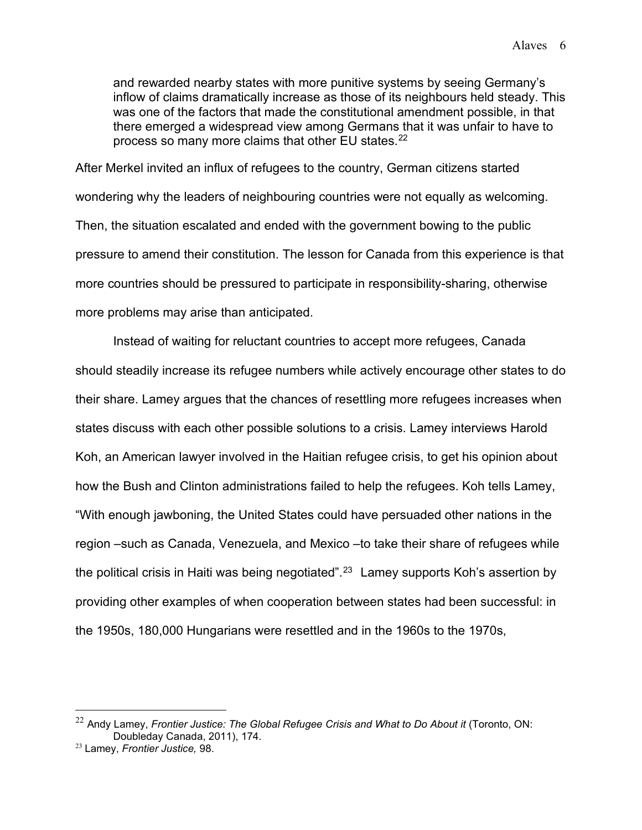and rewarded nearby states with more punitive systems by seeing Germany's inflow of claims dramatically increase as those of its neighbours held steady. This was one of the factors that made the constitutional amendment possible, in that there emerged a widespread view among Germans that it was unfair to have to process so many more claims that other EU states.<sup>[22](#page-6-0)</sup>

After Merkel invited an influx of refugees to the country, German citizens started wondering why the leaders of neighbouring countries were not equally as welcoming. Then, the situation escalated and ended with the government bowing to the public pressure to amend their constitution. The lesson for Canada from this experience is that more countries should be pressured to participate in responsibility-sharing, otherwise more problems may arise than anticipated.

Instead of waiting for reluctant countries to accept more refugees, Canada should steadily increase its refugee numbers while actively encourage other states to do their share. Lamey argues that the chances of resettling more refugees increases when states discuss with each other possible solutions to a crisis. Lamey interviews Harold Koh, an American lawyer involved in the Haitian refugee crisis, to get his opinion about how the Bush and Clinton administrations failed to help the refugees. Koh tells Lamey, "With enough jawboning, the United States could have persuaded other nations in the region –such as Canada, Venezuela, and Mexico –to take their share of refugees while the political crisis in Haiti was being negotiated". [23](#page-6-1) Lamey supports Koh's assertion by providing other examples of when cooperation between states had been successful: in the 1950s, 180,000 Hungarians were resettled and in the 1960s to the 1970s,

<span id="page-6-0"></span><sup>22</sup> Andy Lamey, *Frontier Justice: The Global Refugee Crisis and What to Do About it* (Toronto, ON: Doubleday Canada, 2011), 174.

<span id="page-6-1"></span><sup>23</sup> Lamey, *Frontier Justice,* 98.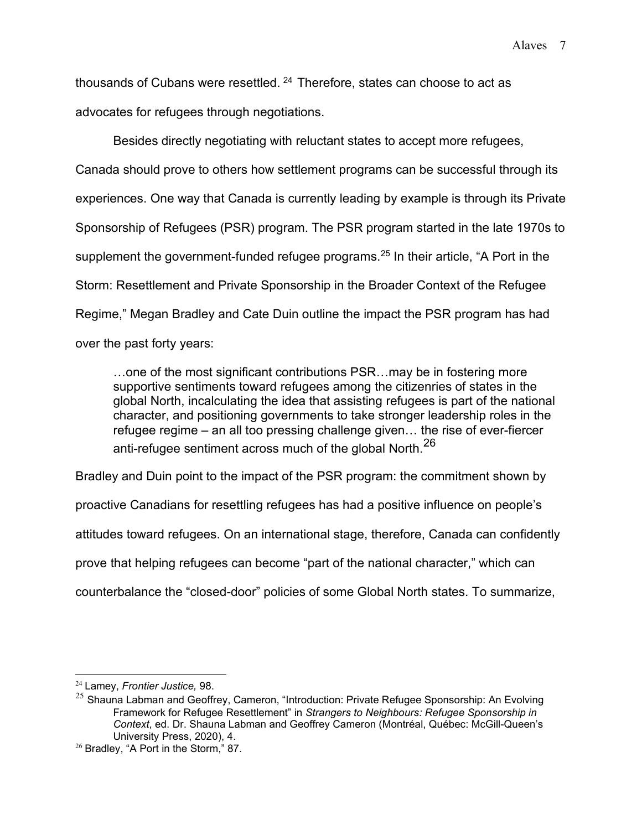thousands of Cubans were resettled. [24](#page-7-0) Therefore, states can choose to act as advocates for refugees through negotiations.

Besides directly negotiating with reluctant states to accept more refugees, Canada should prove to others how settlement programs can be successful through its experiences. One way that Canada is currently leading by example is through its Private Sponsorship of Refugees (PSR) program. The PSR program started in the late 1970s to supplement the government-funded refugee programs.<sup>[25](#page-7-1)</sup> In their article, "A Port in the Storm: Resettlement and Private Sponsorship in the Broader Context of the Refugee Regime," Megan Bradley and Cate Duin outline the impact the PSR program has had over the past forty years:

…one of the most significant contributions PSR…may be in fostering more supportive sentiments toward refugees among the citizenries of states in the global North, incalculating the idea that assisting refugees is part of the national character, and positioning governments to take stronger leadership roles in the refugee regime – an all too pressing challenge given… the rise of ever-fiercer anti-refugee sentiment across much of the global North.<sup>[26](#page-7-2)</sup>

Bradley and Duin point to the impact of the PSR program: the commitment shown by proactive Canadians for resettling refugees has had a positive influence on people's attitudes toward refugees. On an international stage, therefore, Canada can confidently prove that helping refugees can become "part of the national character," which can

counterbalance the "closed-door" policies of some Global North states. To summarize,

<span id="page-7-0"></span><sup>24</sup> Lamey, *Frontier Justice,* 98.

<span id="page-7-1"></span> $25$  Shauna Labman and Geoffrey, Cameron, "Introduction: Private Refugee Sponsorship: An Evolving Framework for Refugee Resettlement" in *Strangers to Neighbours: Refugee Sponsorship in Context*, ed. Dr. Shauna Labman and Geoffrey Cameron (Montréal, Québec: McGill-Queen's University Press, 2020), 4.

<span id="page-7-2"></span><sup>26</sup> Bradley, "A Port in the Storm," 87.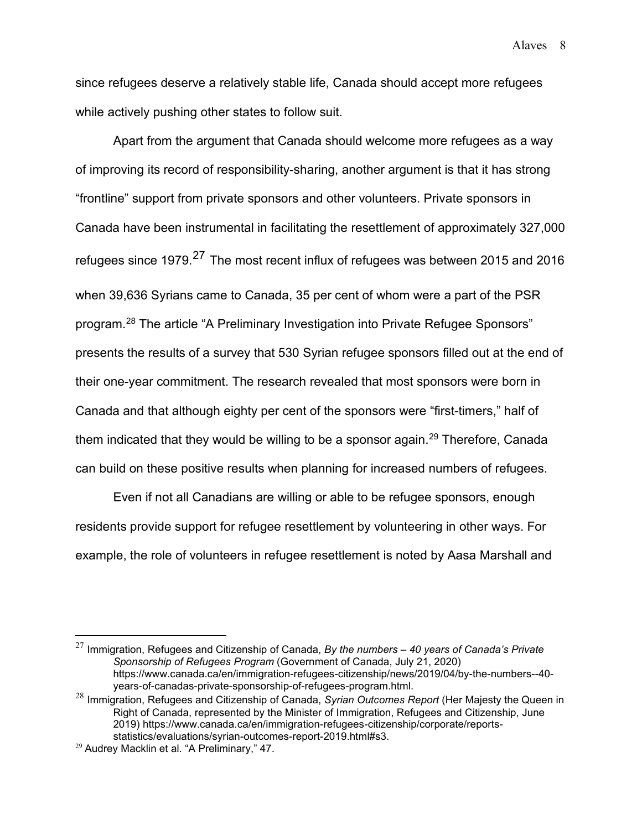Alaves 8

since refugees deserve a relatively stable life, Canada should accept more refugees while actively pushing other states to follow suit.

Apart from the argument that Canada should welcome more refugees as a way of improving its record of responsibility-sharing, another argument is that it has strong "frontline" support from private sponsors and other volunteers. Private sponsors in Canada have been instrumental in facilitating the resettlement of approximately 327,000 refugees since 1979.<sup>[27](#page-8-0)</sup> The most recent influx of refugees was between 2015 and 2016 when 39,636 Syrians came to Canada, 35 per cent of whom were a part of the PSR program. [28](#page-8-1) The article "A Preliminary Investigation into Private Refugee Sponsors" presents the results of a survey that 530 Syrian refugee sponsors filled out at the end of their one-year commitment. The research revealed that most sponsors were born in Canada and that although eighty per cent of the sponsors were "first-timers," half of them indicated that they would be willing to be a sponsor again. [29](#page-8-2) Therefore, Canada can build on these positive results when planning for increased numbers of refugees.

Even if not all Canadians are willing or able to be refugee sponsors, enough residents provide support for refugee resettlement by volunteering in other ways. For example, the role of volunteers in refugee resettlement is noted by Aasa Marshall and

<span id="page-8-0"></span><sup>27</sup> Immigration, Refugees and Citizenship of Canada, *By the numbers – 40 years of Canada's Private Sponsorship of Refugees Program* (Government of Canada, July 21, 2020) https://www.canada.ca/en/immigration-refugees-citizenship/news/2019/04/by-the-numbers--40 years-of-canadas-private-sponsorship-of-refugees-program.html.

<span id="page-8-1"></span><sup>28</sup> Immigration, Refugees and Citizenship of Canada, *Syrian Outcomes Report* (Her Majesty the Queen in Right of Canada, represented by the Minister of Immigration, Refugees and Citizenship, June 2019) https://www.canada.ca/en/immigration-refugees-citizenship/corporate/reportsstatistics/evaluations/syrian-outcomes-report-2019.html#s3.

<span id="page-8-2"></span><sup>&</sup>lt;sup>29</sup> Audrey Macklin et al. "A Preliminary," 47.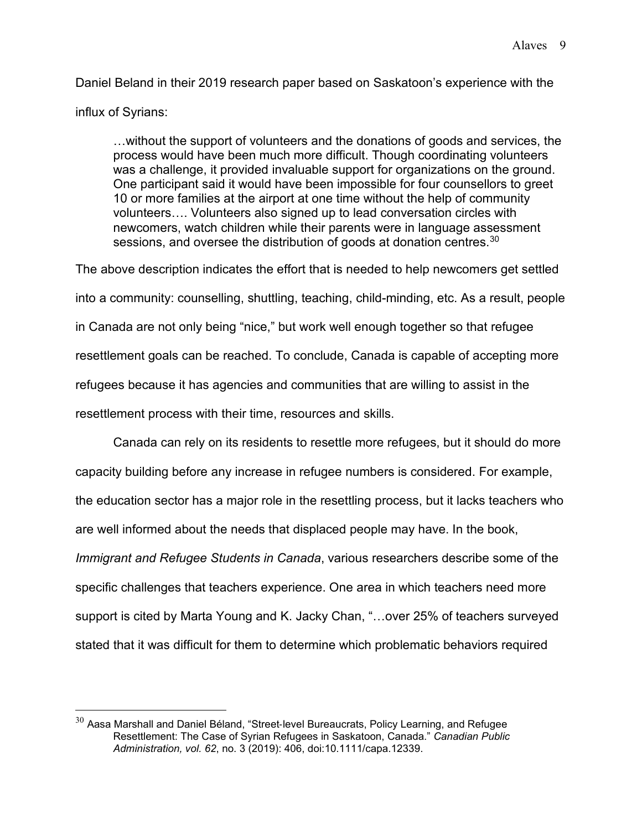Daniel Beland in their 2019 research paper based on Saskatoon's experience with the influx of Syrians:

…without the support of volunteers and the donations of goods and services, the process would have been much more difficult. Though coordinating volunteers was a challenge, it provided invaluable support for organizations on the ground. One participant said it would have been impossible for four counsellors to greet 10 or more families at the airport at one time without the help of community volunteers…. Volunteers also signed up to lead conversation circles with newcomers, watch children while their parents were in language assessment sessions, and oversee the distribution of goods at donation centres. $30$ 

The above description indicates the effort that is needed to help newcomers get settled into a community: counselling, shuttling, teaching, child-minding, etc. As a result, people in Canada are not only being "nice," but work well enough together so that refugee resettlement goals can be reached. To conclude, Canada is capable of accepting more refugees because it has agencies and communities that are willing to assist in the resettlement process with their time, resources and skills.

Canada can rely on its residents to resettle more refugees, but it should do more capacity building before any increase in refugee numbers is considered. For example, the education sector has a major role in the resettling process, but it lacks teachers who are well informed about the needs that displaced people may have. In the book, *Immigrant and Refugee Students in Canada*, various researchers describe some of the specific challenges that teachers experience. One area in which teachers need more support is cited by Marta Young and K. Jacky Chan, "…over 25% of teachers surveyed stated that it was difficult for them to determine which problematic behaviors required

<span id="page-9-0"></span> $30$  Aasa Marshall and Daniel Béland, "Street-level Bureaucrats, Policy Learning, and Refugee Resettlement: The Case of Syrian Refugees in Saskatoon, Canada." *Canadian Public Administration, vol. 62*, no. 3 (2019): 406, doi:10.1111/capa.12339.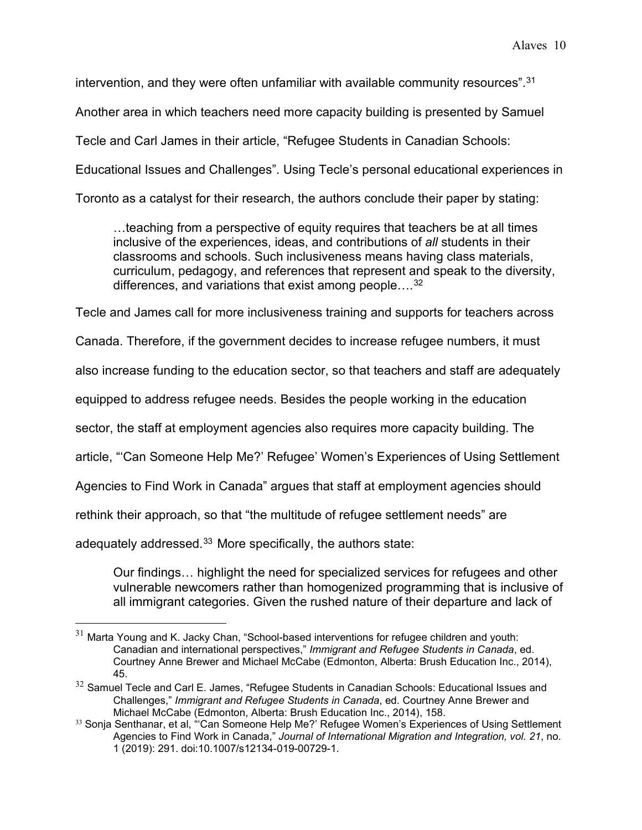intervention, and they were often unfamiliar with available community resources". $^{\rm 31}$  $^{\rm 31}$  $^{\rm 31}$ 

Another area in which teachers need more capacity building is presented by Samuel

Tecle and Carl James in their article, "Refugee Students in Canadian Schools:

Educational Issues and Challenges". Using Tecle's personal educational experiences in

Toronto as a catalyst for their research, the authors conclude their paper by stating:

…teaching from a perspective of equity requires that teachers be at all times inclusive of the experiences, ideas, and contributions of *all* students in their classrooms and schools. Such inclusiveness means having class materials, curriculum, pedagogy, and references that represent and speak to the diversity, differences, and variations that exist among people....<sup>[32](#page-10-1)</sup>

Tecle and James call for more inclusiveness training and supports for teachers across

Canada. Therefore, if the government decides to increase refugee numbers, it must

also increase funding to the education sector, so that teachers and staff are adequately

equipped to address refugee needs. Besides the people working in the education

sector, the staff at employment agencies also requires more capacity building. The

article, "'Can Someone Help Me?' Refugee' Women's Experiences of Using Settlement

Agencies to Find Work in Canada" argues that staff at employment agencies should

rethink their approach, so that "the multitude of refugee settlement needs" are

adequately addressed.<sup>[33](#page-10-2)</sup> More specifically, the authors state:

Our findings… highlight the need for specialized services for refugees and other vulnerable newcomers rather than homogenized programming that is inclusive of all immigrant categories. Given the rushed nature of their departure and lack of

<span id="page-10-0"></span> $31$  Marta Young and K. Jacky Chan, "School-based interventions for refugee children and youth: Canadian and international perspectives," *Immigrant and Refugee Students in Canada*, ed. Courtney Anne Brewer and Michael McCabe (Edmonton, Alberta: Brush Education Inc., 2014), 45.

<span id="page-10-1"></span> $32$  Samuel Tecle and Carl E. James, "Refugee Students in Canadian Schools: Educational Issues and Challenges," *Immigrant and Refugee Students in Canada*, ed. Courtney Anne Brewer and Michael McCabe (Edmonton, Alberta: Brush Education Inc., 2014), 158.

<span id="page-10-2"></span><sup>&</sup>lt;sup>33</sup> Sonja Senthanar, et al, "Can Someone Help Me?' Refugee Women's Experiences of Using Settlement Agencies to Find Work in Canada," *Journal of International Migration and Integration, vol. 21*, no. 1 (2019): 291. doi:10.1007/s12134-019-00729-1.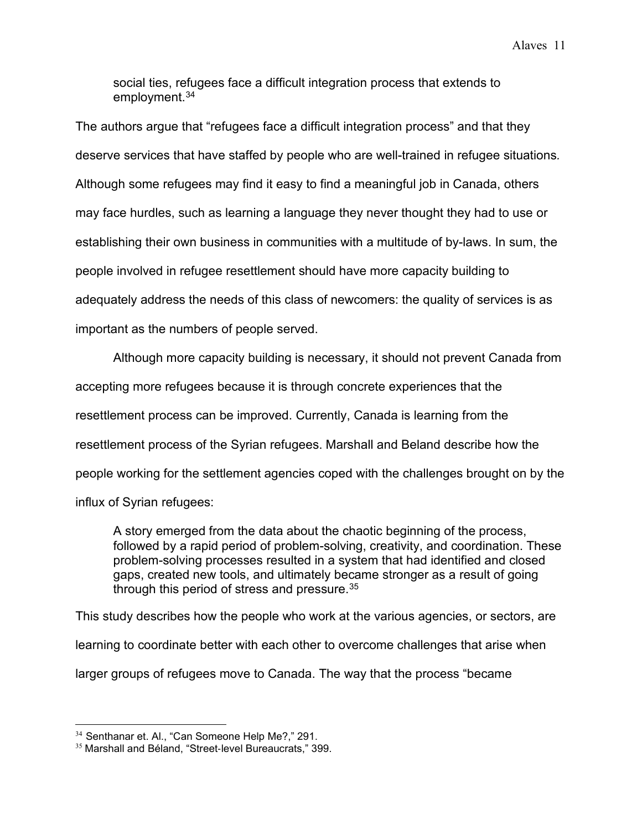social ties, refugees face a difficult integration process that extends to employment.<sup>[34](#page-11-0)</sup>

The authors argue that "refugees face a difficult integration process" and that they deserve services that have staffed by people who are well-trained in refugee situations*.* Although some refugees may find it easy to find a meaningful job in Canada, others may face hurdles, such as learning a language they never thought they had to use or establishing their own business in communities with a multitude of by-laws. In sum, the people involved in refugee resettlement should have more capacity building to adequately address the needs of this class of newcomers: the quality of services is as important as the numbers of people served.

Although more capacity building is necessary, it should not prevent Canada from accepting more refugees because it is through concrete experiences that the resettlement process can be improved. Currently, Canada is learning from the resettlement process of the Syrian refugees. Marshall and Beland describe how the people working for the settlement agencies coped with the challenges brought on by the influx of Syrian refugees:

A story emerged from the data about the chaotic beginning of the process, followed by a rapid period of problem-solving, creativity, and coordination. These problem-solving processes resulted in a system that had identified and closed gaps, created new tools, and ultimately became stronger as a result of going through this period of stress and pressure.<sup>[35](#page-11-1)</sup>

This study describes how the people who work at the various agencies, or sectors, are learning to coordinate better with each other to overcome challenges that arise when larger groups of refugees move to Canada. The way that the process "became

<span id="page-11-0"></span><sup>&</sup>lt;sup>34</sup> Senthanar et. Al., "Can Someone Help Me?," 291.

<span id="page-11-1"></span><sup>35</sup> Marshall and Béland, "Street‐level Bureaucrats," 399.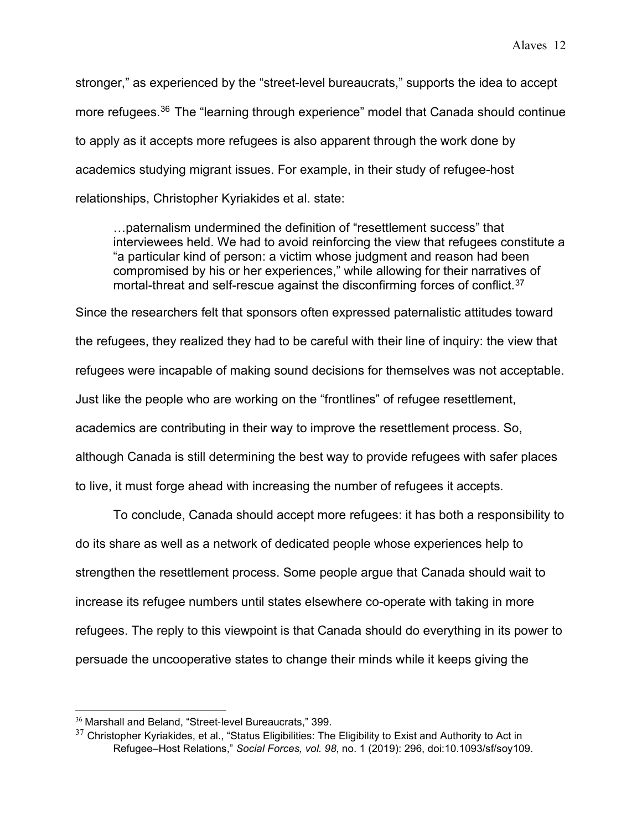stronger," as experienced by the "street-level bureaucrats," supports the idea to accept more refugees. [36](#page-12-0) The "learning through experience" model that Canada should continue to apply as it accepts more refugees is also apparent through the work done by academics studying migrant issues. For example, in their study of refugee-host relationships, Christopher Kyriakides et al. state:

…paternalism undermined the definition of "resettlement success" that interviewees held. We had to avoid reinforcing the view that refugees constitute a "a particular kind of person: a victim whose judgment and reason had been compromised by his or her experiences," while allowing for their narratives of mortal-threat and self-rescue against the disconfirming forces of conflict.<sup>[37](#page-12-1)</sup>

Since the researchers felt that sponsors often expressed paternalistic attitudes toward the refugees, they realized they had to be careful with their line of inquiry: the view that refugees were incapable of making sound decisions for themselves was not acceptable. Just like the people who are working on the "frontlines" of refugee resettlement, academics are contributing in their way to improve the resettlement process. So, although Canada is still determining the best way to provide refugees with safer places to live, it must forge ahead with increasing the number of refugees it accepts.

To conclude, Canada should accept more refugees: it has both a responsibility to do its share as well as a network of dedicated people whose experiences help to strengthen the resettlement process. Some people argue that Canada should wait to increase its refugee numbers until states elsewhere co-operate with taking in more refugees. The reply to this viewpoint is that Canada should do everything in its power to persuade the uncooperative states to change their minds while it keeps giving the

<span id="page-12-1"></span><span id="page-12-0"></span> $36$  Marshall and Beland, "Street-level Bureaucrats," 399.<br> $37$  Christopher Kyriakides, et al., "Status Eligibilities: The Eligibility to Exist and Authority to Act in Refugee–Host Relations," *Social Forces, vol. 98*, no. 1 (2019): 296, doi:10.1093/sf/soy109.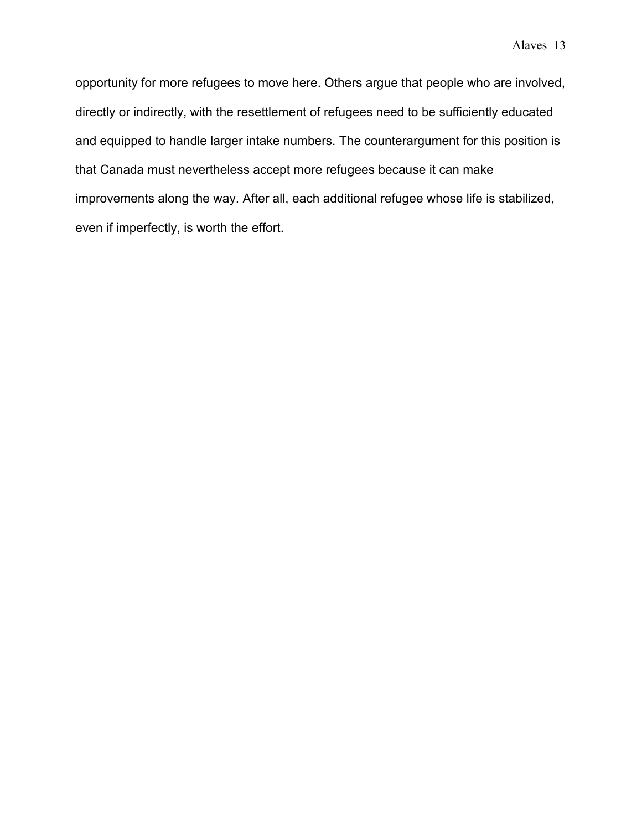opportunity for more refugees to move here. Others argue that people who are involved, directly or indirectly, with the resettlement of refugees need to be sufficiently educated and equipped to handle larger intake numbers. The counterargument for this position is that Canada must nevertheless accept more refugees because it can make improvements along the way. After all, each additional refugee whose life is stabilized, even if imperfectly, is worth the effort.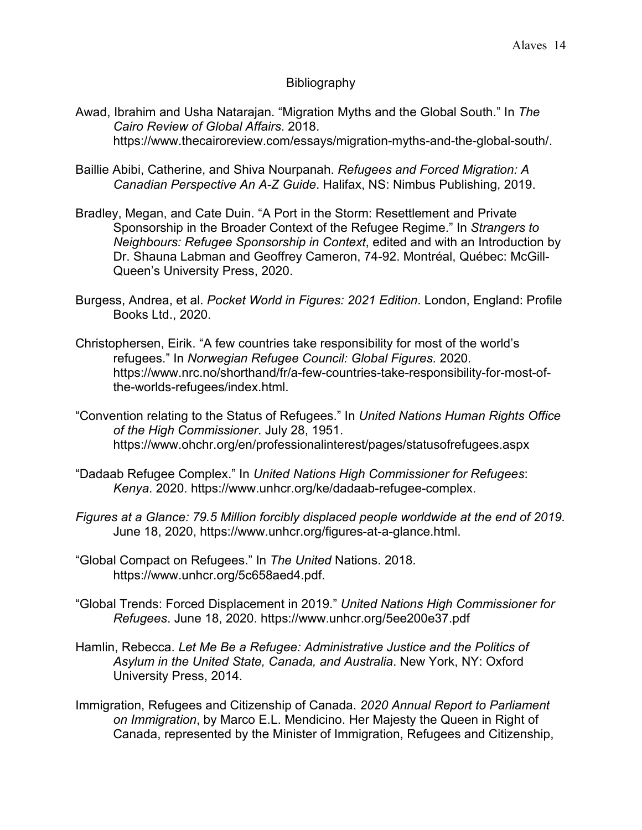## Bibliography

- Awad, Ibrahim and Usha Natarajan. "Migration Myths and the Global South." In *The Cairo Review of Global Affairs*. 2018. https://www.thecairoreview.com/essays/migration-myths-and-the-global-south/.
- Baillie Abibi, Catherine, and Shiva Nourpanah. *Refugees and Forced Migration: A Canadian Perspective An A-Z Guide*. Halifax, NS: Nimbus Publishing, 2019.
- Bradley, Megan, and Cate Duin. "A Port in the Storm: Resettlement and Private Sponsorship in the Broader Context of the Refugee Regime." In *Strangers to Neighbours: Refugee Sponsorship in Context*, edited and with an Introduction by Dr. Shauna Labman and Geoffrey Cameron, 74-92. Montréal, Québec: McGill-Queen's University Press, 2020.
- Burgess, Andrea, et al. *Pocket World in Figures: 2021 Edition*. London, England: Profile Books Ltd., 2020.
- Christophersen, Eirik. "A few countries take responsibility for most of the world's refugees." In *Norwegian Refugee Council: Global Figures.* 2020. https://www.nrc.no/shorthand/fr/a-few-countries-take-responsibility-for-most-ofthe-worlds-refugees/index.html.
- "Convention relating to the Status of Refugees." In *United Nations Human Rights Office of the High Commissioner*. July 28, 1951. https://www.ohchr.org/en/professionalinterest/pages/statusofrefugees.aspx
- "Dadaab Refugee Complex." In *United Nations High Commissioner for Refugees*: *Kenya*. 2020. https://www.unhcr.org/ke/dadaab-refugee-complex.
- *Figures at a Glance: 79.5 Million forcibly displaced people worldwide at the end of 2019.*  June 18, 2020, https://www.unhcr.org/figures-at-a-glance.html.
- "Global Compact on Refugees." In *The United* Nations. 2018. https://www.unhcr.org/5c658aed4.pdf.
- "Global Trends: Forced Displacement in 2019." *United Nations High Commissioner for Refugees*. June 18, 2020. https://www.unhcr.org/5ee200e37.pdf
- Hamlin, Rebecca. *Let Me Be a Refugee: Administrative Justice and the Politics of Asylum in the United State, Canada, and Australia*. New York, NY: Oxford University Press, 2014.
- Immigration, Refugees and Citizenship of Canada. *2020 Annual Report to Parliament on Immigration*, by Marco E.L. Mendicino. Her Majesty the Queen in Right of Canada, represented by the Minister of Immigration, Refugees and Citizenship,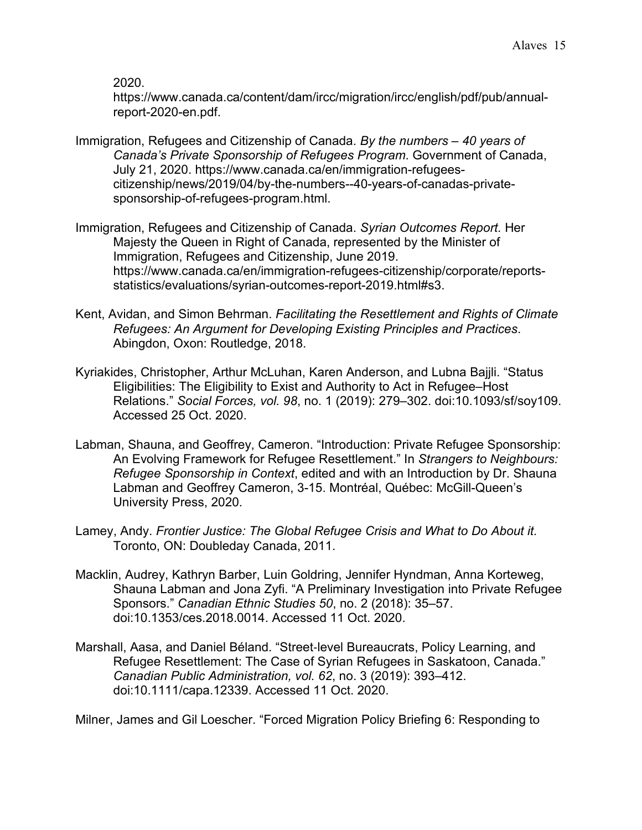## 2020.

https://www.canada.ca/content/dam/ircc/migration/ircc/english/pdf/pub/annualreport-2020-en.pdf.

- Immigration, Refugees and Citizenship of Canada. *By the numbers – 40 years of Canada's Private Sponsorship of Refugees Program*. Government of Canada, July 21, 2020. https://www.canada.ca/en/immigration-refugeescitizenship/news/2019/04/by-the-numbers--40-years-of-canadas-privatesponsorship-of-refugees-program.html.
- Immigration, Refugees and Citizenship of Canada. *Syrian Outcomes Report.* Her Majesty the Queen in Right of Canada, represented by the Minister of Immigration, Refugees and Citizenship, June 2019. https://www.canada.ca/en/immigration-refugees-citizenship/corporate/reportsstatistics/evaluations/syrian-outcomes-report-2019.html#s3.
- Kent, Avidan, and Simon Behrman. *Facilitating the Resettlement and Rights of Climate Refugees: An Argument for Developing Existing Principles and Practices*. Abingdon, Oxon: Routledge, 2018.
- Kyriakides, Christopher, Arthur McLuhan, Karen Anderson, and Lubna Bajjli. "Status Eligibilities: The Eligibility to Exist and Authority to Act in Refugee–Host Relations." *Social Forces, vol. 98*, no. 1 (2019): 279–302. doi:10.1093/sf/soy109. Accessed 25 Oct. 2020.
- Labman, Shauna, and Geoffrey, Cameron. "Introduction: Private Refugee Sponsorship: An Evolving Framework for Refugee Resettlement." In *Strangers to Neighbours: Refugee Sponsorship in Context*, edited and with an Introduction by Dr. Shauna Labman and Geoffrey Cameron, 3-15. Montréal, Québec: McGill-Queen's University Press, 2020.
- Lamey, Andy. *Frontier Justice: The Global Refugee Crisis and What to Do About it.* Toronto, ON: Doubleday Canada, 2011.
- Macklin, Audrey, Kathryn Barber, Luin Goldring, Jennifer Hyndman, Anna Korteweg, Shauna Labman and Jona Zyfi. "A Preliminary Investigation into Private Refugee Sponsors." *Canadian Ethnic Studies 50*, no. 2 (2018): 35–57. doi:10.1353/ces.2018.0014. Accessed 11 Oct. 2020.
- Marshall, Aasa, and Daniel Béland. "Street‐level Bureaucrats, Policy Learning, and Refugee Resettlement: The Case of Syrian Refugees in Saskatoon, Canada." *Canadian Public Administration, vol. 62*, no. 3 (2019): 393–412. doi:10.1111/capa.12339. Accessed 11 Oct. 2020.

Milner, James and Gil Loescher. "Forced Migration Policy Briefing 6: Responding to